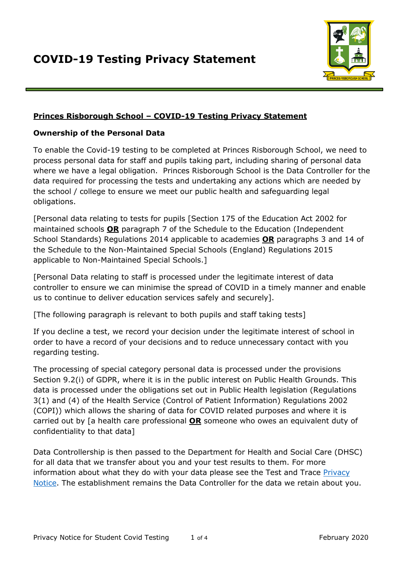

## **Princes Risborough School – COVID-19 Testing Privacy Statement**

#### **Ownership of the Personal Data**

To enable the Covid-19 testing to be completed at Princes Risborough School, we need to process personal data for staff and pupils taking part, including sharing of personal data where we have a legal obligation. Princes Risborough School is the Data Controller for the data required for processing the tests and undertaking any actions which are needed by the school / college to ensure we meet our public health and safeguarding legal obligations.

[Personal data relating to tests for pupils [Section 175 of the Education Act 2002 for maintained schools **OR** paragraph 7 of the Schedule to the Education (Independent School Standards) Regulations 2014 applicable to academies **OR** paragraphs 3 and 14 of the Schedule to the Non-Maintained Special Schools (England) Regulations 2015 applicable to Non-Maintained Special Schools.]

[Personal Data relating to staff is processed under the legitimate interest of data controller to ensure we can minimise the spread of COVID in a timely manner and enable us to continue to deliver education services safely and securely].

[The following paragraph is relevant to both pupils and staff taking tests]

If you decline a test, we record your decision under the legitimate interest of school in order to have a record of your decisions and to reduce unnecessary contact with you regarding testing.

The processing of special category personal data is processed under the provisions Section 9.2(i) of GDPR, where it is in the public interest on Public Health Grounds. This data is processed under the obligations set out in Public Health legislation (Regulations 3(1) and (4) of the Health Service (Control of Patient Information) Regulations 2002 (COPI)) which allows the sharing of data for COVID related purposes and where it is carried out by [a health care professional **OR** someone who owes an equivalent duty of confidentiality to that data]

Data Controllership is then passed to the Department for Health and Social Care (DHSC) for all data that we transfer about you and your test results to them. For more information about what they do with your data please see the Test and Trace Privacy [Notice.](https://contact-tracing.phe.gov.uk/help/privacy-notice) The establishment remains the Data Controller for the data we retain about you.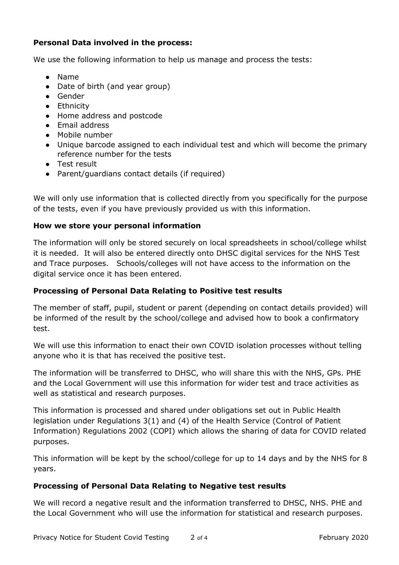# **Personal Data involved in the process:**

We use the following information to help us manage and process the tests:

- Name
- Date of birth (and year group)
- Gender
- Ethnicity
- Home address and postcode
- Email address
- Mobile number
- Unique barcode assigned to each individual test and which will become the primary reference number for the tests
- Test result
- Parent/guardians contact details (if required)

We will only use information that is collected directly from you specifically for the purpose of the tests, even if you have previously provided us with this information.

## **How we store your personal information**

The information will only be stored securely on local spreadsheets in school/college whilst it is needed. It will also be entered directly onto DHSC digital services for the NHS Test and Trace purposes. Schools/colleges will not have access to the information on the digital service once it has been entered.

## **Processing of Personal Data Relating to Positive test results**

The member of staff, pupil, student or parent (depending on contact details provided) will be informed of the result by the school/college and advised how to book a confirmatory test.

We will use this information to enact their own COVID isolation processes without telling anyone who it is that has received the positive test.

The information will be transferred to DHSC, who will share this with the NHS, GPs. PHE and the Local Government will use this information for wider test and trace activities as well as statistical and research purposes.

This information is processed and shared under obligations set out in Public Health legislation under Regulations 3(1) and (4) of the Health Service (Control of Patient Information) Regulations 2002 (COPI) which allows the sharing of data for COVID related purposes.

This information will be kept by the school/college for up to 14 days and by the NHS for 8 years.

## **Processing of Personal Data Relating to Negative test results**

We will record a negative result and the information transferred to DHSC, NHS. PHE and the Local Government who will use the information for statistical and research purposes.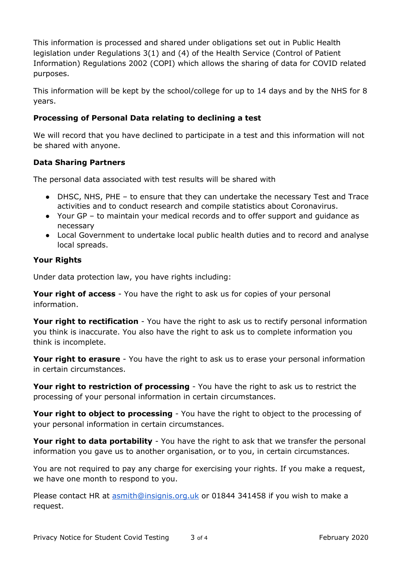This information is processed and shared under obligations set out in Public Health legislation under Regulations 3(1) and (4) of the Health Service (Control of Patient Information) Regulations 2002 (COPI) which allows the sharing of data for COVID related purposes.

This information will be kept by the school/college for up to 14 days and by the NHS for 8 years.

# **Processing of Personal Data relating to declining a test**

We will record that you have declined to participate in a test and this information will not be shared with anyone.

## **Data Sharing Partners**

The personal data associated with test results will be shared with

- DHSC, NHS, PHE to ensure that they can undertake the necessary Test and Trace activities and to conduct research and compile statistics about Coronavirus.
- Your GP to maintain your medical records and to offer support and guidance as necessary
- Local Government to undertake local public health duties and to record and analyse local spreads.

## **Your Rights**

Under data protection law, you have rights including:

**Your right of access** - You have the right to ask us for copies of your personal information.

**Your right to rectification** - You have the right to ask us to rectify personal information you think is inaccurate. You also have the right to ask us to complete information you think is incomplete.

**Your right to erasure** - You have the right to ask us to erase your personal information in certain circumstances.

**Your right to restriction of processing** - You have the right to ask us to restrict the processing of your personal information in certain circumstances.

**Your right to object to processing** - You have the right to object to the processing of your personal information in certain circumstances.

Your right to data portability - You have the right to ask that we transfer the personal information you gave us to another organisation, or to you, in certain circumstances.

You are not required to pay any charge for exercising your rights. If you make a request, we have one month to respond to you.

Please contact HR at [asmith@insignis.org.uk](mailto:asmith@insignis.org.uk) or 01844 341458 if you wish to make a request.